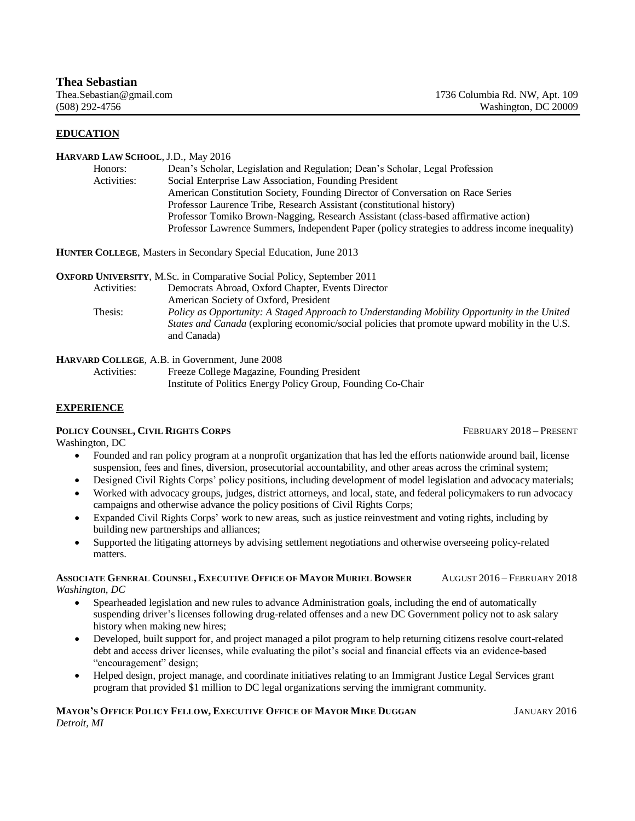## **EDUCATION**

#### **HARVARD LAW SCHOOL**, J.D., May 2016

| Honors:     | Dean's Scholar, Legislation and Regulation; Dean's Scholar, Legal Profession                   |
|-------------|------------------------------------------------------------------------------------------------|
| Activities: | Social Enterprise Law Association, Founding President                                          |
|             | American Constitution Society, Founding Director of Conversation on Race Series                |
|             | Professor Laurence Tribe, Research Assistant (constitutional history)                          |
|             | Professor Tomiko Brown-Nagging, Research Assistant (class-based affirmative action)            |
|             | Professor Lawrence Summers, Independent Paper (policy strategies to address income inequality) |

**HUNTER COLLEGE**, Masters in Secondary Special Education, June 2013

**OXFORD UNIVERSITY**, M.Sc. in Comparative Social Policy, September 2011

|         | Democrats Abroad, Oxford Chapter, Events Director                                                     |
|---------|-------------------------------------------------------------------------------------------------------|
|         | American Society of Oxford, President                                                                 |
|         |                                                                                                       |
| Thesis: | Policy as Opportunity: A Staged Approach to Understanding Mobility Opportunity in the United          |
|         | <i>States and Canada</i> (exploring economic/social policies that promote upward mobility in the U.S. |
|         | and Canada)                                                                                           |
|         | Activities:                                                                                           |

**HARVARD COLLEGE**, A.B. in Government, June 2008

Activities: Freeze College Magazine, Founding President Institute of Politics Energy Policy Group, Founding Co-Chair

### **EXPERIENCE**

# **POLICY COUNSEL, CIVIL RIGHTS CORPS** *CORPS CONDUCT <b>PRESENT COLLEGERY 2018 – PRESENT*

Washington, DC

- Founded and ran policy program at a nonprofit organization that has led the efforts nationwide around bail, license suspension, fees and fines, diversion, prosecutorial accountability, and other areas across the criminal system;
- Designed Civil Rights Corps' policy positions, including development of model legislation and advocacy materials;
- Worked with advocacy groups, judges, district attorneys, and local, state, and federal policymakers to run advocacy campaigns and otherwise advance the policy positions of Civil Rights Corps;
- Expanded Civil Rights Corps' work to new areas, such as justice reinvestment and voting rights, including by building new partnerships and alliances;
- Supported the litigating attorneys by advising settlement negotiations and otherwise overseeing policy-related matters.

#### **ASSOCIATE GENERAL COUNSEL, EXECUTIVE OFFICE OF MAYOR MURIEL BOWSER** AUGUST 2016 – FEBRUARY 2018 *Washington, DC*

- Spearheaded legislation and new rules to advance Administration goals, including the end of automatically suspending driver's licenses following drug-related offenses and a new DC Government policy not to ask salary history when making new hires;
- Developed, built support for, and project managed a pilot program to help returning citizens resolve court-related debt and access driver licenses, while evaluating the pilot's social and financial effects via an evidence-based "encouragement" design;
- Helped design, project manage, and coordinate initiatives relating to an Immigrant Justice Legal Services grant program that provided \$1 million to DC legal organizations serving the immigrant community.

### **MAYOR'S OFFICE POLICY FELLOW, EXECUTIVE OFFICE OF MAYOR MIKE DUGGAN SERIES AND SANUARY 2016** *Detroit, MI*